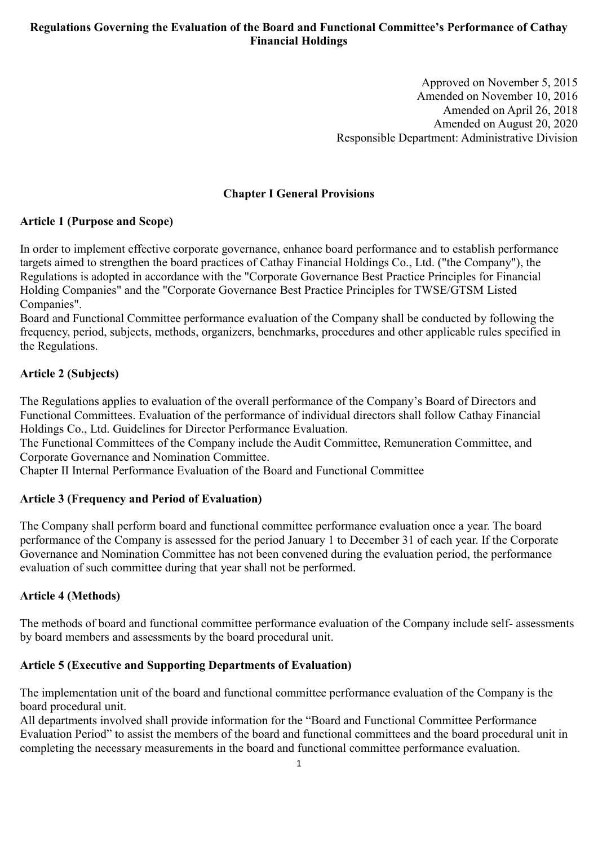# **Regulations Governing the Evaluation of the Board and Functional Committee's Performance of Cathay Financial Holdings**

Approved on November 5, 2015 Amended on November 10, 2016 Amended on April 26, 2018 Amended on August 20, 2020 Responsible Department: Administrative Division

### **Chapter I General Provisions**

### **Article 1 (Purpose and Scope)**

In order to implement effective corporate governance, enhance board performance and to establish performance targets aimed to strengthen the board practices of Cathay Financial Holdings Co., Ltd. ("the Company"), the Regulations is adopted in accordance with the "Corporate Governance Best Practice Principles for Financial Holding Companies" and the "Corporate Governance Best Practice Principles for TWSE/GTSM Listed Companies".

Board and Functional Committee performance evaluation of the Company shall be conducted by following the frequency, period, subjects, methods, organizers, benchmarks, procedures and other applicable rules specified in the Regulations.

### **Article 2 (Subjects)**

The Regulations applies to evaluation of the overall performance of the Company's Board of Directors and Functional Committees. Evaluation of the performance of individual directors shall follow Cathay Financial Holdings Co., Ltd. Guidelines for Director Performance Evaluation.

The Functional Committees of the Company include the Audit Committee, Remuneration Committee, and Corporate Governance and Nomination Committee.

Chapter II Internal Performance Evaluation of the Board and Functional Committee

### **Article 3 (Frequency and Period of Evaluation)**

The Company shall perform board and functional committee performance evaluation once a year. The board performance of the Company is assessed for the period January 1 to December 31 of each year. If the Corporate Governance and Nomination Committee has not been convened during the evaluation period, the performance evaluation of such committee during that year shall not be performed.

### **Article 4 (Methods)**

The methods of board and functional committee performance evaluation of the Company include self- assessments by board members and assessments by the board procedural unit.

### **Article 5 (Executive and Supporting Departments of Evaluation)**

The implementation unit of the board and functional committee performance evaluation of the Company is the board procedural unit.

All departments involved shall provide information for the "Board and Functional Committee Performance Evaluation Period" to assist the members of the board and functional committees and the board procedural unit in completing the necessary measurements in the board and functional committee performance evaluation.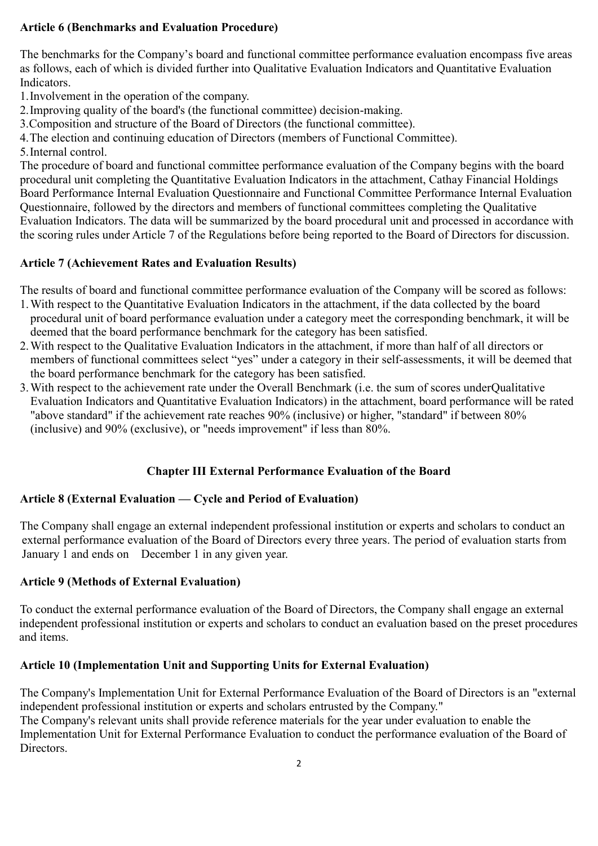# **Article 6 (Benchmarks and Evaluation Procedure)**

The benchmarks for the Company's board and functional committee performance evaluation encompass five areas as follows, each of which is divided further into Qualitative Evaluation Indicators and Quantitative Evaluation Indicators.

1.Involvement in the operation of the company.

2.Improving quality of the board's (the functional committee) decision-making.

3.Composition and structure of the Board of Directors (the functional committee).

4.The election and continuing education of Directors (members of Functional Committee).

5.Internal control.

The procedure of board and functional committee performance evaluation of the Company begins with the board procedural unit completing the Quantitative Evaluation Indicators in the attachment, Cathay Financial Holdings Board Performance Internal Evaluation Questionnaire and Functional Committee Performance Internal Evaluation Questionnaire, followed by the directors and members of functional committees completing the Qualitative Evaluation Indicators. The data will be summarized by the board procedural unit and processed in accordance with the scoring rules under Article 7 of the Regulations before being reported to the Board of Directors for discussion.

# **Article 7 (Achievement Rates and Evaluation Results)**

The results of board and functional committee performance evaluation of the Company will be scored as follows:

- 1.With respect to the Quantitative Evaluation Indicators in the attachment, if the data collected by the board procedural unit of board performance evaluation under a category meet the corresponding benchmark, it will be deemed that the board performance benchmark for the category has been satisfied.
- 2.With respect to the Qualitative Evaluation Indicators in the attachment, if more than half of all directors or members of functional committees select "yes" under a category in their self-assessments, it will be deemed that the board performance benchmark for the category has been satisfied.
- 3.With respect to the achievement rate under the Overall Benchmark (i.e. the sum of scores underQualitative Evaluation Indicators and Quantitative Evaluation Indicators) in the attachment, board performance will be rated "above standard" if the achievement rate reaches 90% (inclusive) or higher, "standard" if between 80% (inclusive) and 90% (exclusive), or "needs improvement" if less than 80%.

# **Chapter III External Performance Evaluation of the Board**

# **Article 8 (External Evaluation — Cycle and Period of Evaluation)**

The Company shall engage an external independent professional institution or experts and scholars to conduct an external performance evaluation of the Board of Directors every three years. The period of evaluation starts from January 1 and ends on December 1 in any given year.

## **Article 9 (Methods of External Evaluation)**

To conduct the external performance evaluation of the Board of Directors, the Company shall engage an external independent professional institution or experts and scholars to conduct an evaluation based on the preset procedures and items.

# **Article 10 (Implementation Unit and Supporting Units for External Evaluation)**

The Company's Implementation Unit for External Performance Evaluation of the Board of Directors is an "external independent professional institution or experts and scholars entrusted by the Company." The Company's relevant units shall provide reference materials for the year under evaluation to enable the Implementation Unit for External Performance Evaluation to conduct the performance evaluation of the Board of Directors.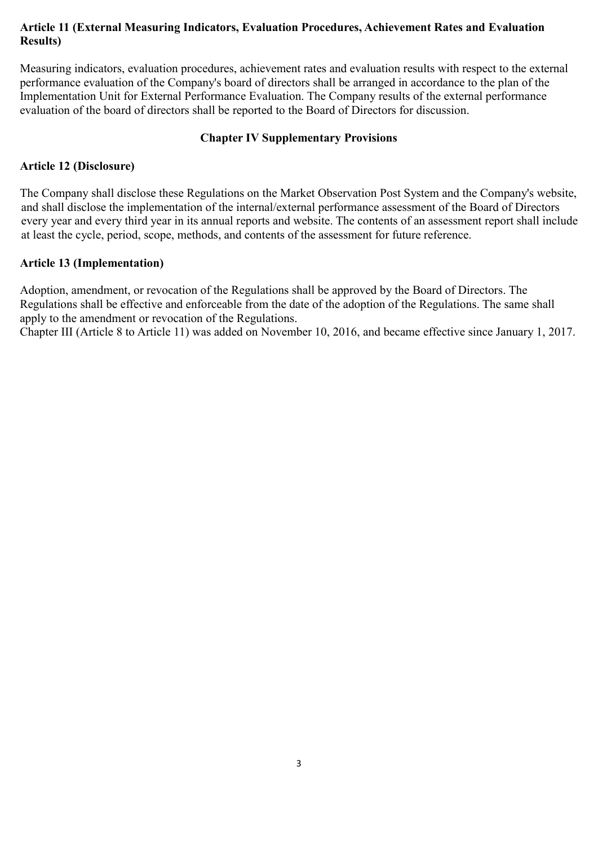# **Article 11 (External Measuring Indicators, Evaluation Procedures, Achievement Rates and Evaluation Results)**

Measuring indicators, evaluation procedures, achievement rates and evaluation results with respect to the external performance evaluation of the Company's board of directors shall be arranged in accordance to the plan of the Implementation Unit for External Performance Evaluation. The Company results of the external performance evaluation of the board of directors shall be reported to the Board of Directors for discussion.

## **Chapter IV Supplementary Provisions**

# **Article 12 (Disclosure)**

The Company shall disclose these Regulations on the Market Observation Post System and the Company's website, and shall disclose the implementation of the internal/external performance assessment of the Board of Directors every year and every third year in its annual reports and website. The contents of an assessment report shall include at least the cycle, period, scope, methods, and contents of the assessment for future reference.

## **Article 13 (Implementation)**

Adoption, amendment, or revocation of the Regulations shall be approved by the Board of Directors. The Regulations shall be effective and enforceable from the date of the adoption of the Regulations. The same shall apply to the amendment or revocation of the Regulations.

Chapter III (Article 8 to Article 11) was added on November 10, 2016, and became effective since January 1, 2017.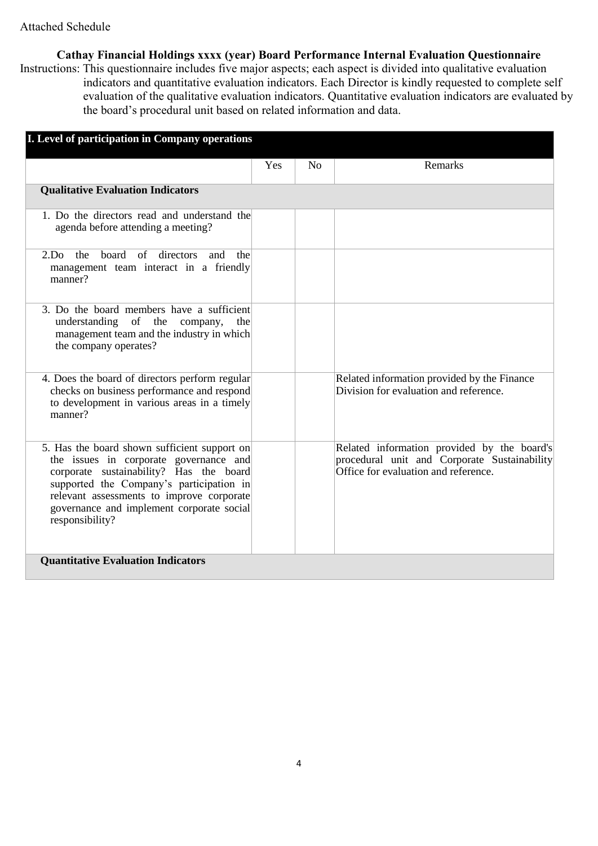**Cathay Financial Holdings xxxx (year) Board Performance Internal Evaluation Questionnaire**

Instructions: This questionnaire includes five major aspects; each aspect is divided into qualitative evaluation indicators and quantitative evaluation indicators. Each Director is kindly requested to complete self evaluation of the qualitative evaluation indicators. Quantitative evaluation indicators are evaluated by the board's procedural unit based on related information and data.

| I. Level of participation in Company operations                                                                                                                                                                                                                                            |     |    |                                                                                                                                     |
|--------------------------------------------------------------------------------------------------------------------------------------------------------------------------------------------------------------------------------------------------------------------------------------------|-----|----|-------------------------------------------------------------------------------------------------------------------------------------|
|                                                                                                                                                                                                                                                                                            | Yes | No | <b>Remarks</b>                                                                                                                      |
| <b>Qualitative Evaluation Indicators</b>                                                                                                                                                                                                                                                   |     |    |                                                                                                                                     |
| 1. Do the directors read and understand the<br>agenda before attending a meeting?                                                                                                                                                                                                          |     |    |                                                                                                                                     |
| $2.Do$ the<br>board of directors and<br>the<br>management team interact in a friendly<br>manner?                                                                                                                                                                                           |     |    |                                                                                                                                     |
| 3. Do the board members have a sufficient<br>of the company,<br>understanding<br>the<br>management team and the industry in which<br>the company operates?                                                                                                                                 |     |    |                                                                                                                                     |
| 4. Does the board of directors perform regular<br>checks on business performance and respond<br>to development in various areas in a timely<br>manner?                                                                                                                                     |     |    | Related information provided by the Finance<br>Division for evaluation and reference.                                               |
| 5. Has the board shown sufficient support on<br>the issues in corporate governance and<br>corporate sustainability? Has the board<br>supported the Company's participation in<br>relevant assessments to improve corporate<br>governance and implement corporate social<br>responsibility? |     |    | Related information provided by the board's<br>procedural unit and Corporate Sustainability<br>Office for evaluation and reference. |
| <b>Quantitative Evaluation Indicators</b>                                                                                                                                                                                                                                                  |     |    |                                                                                                                                     |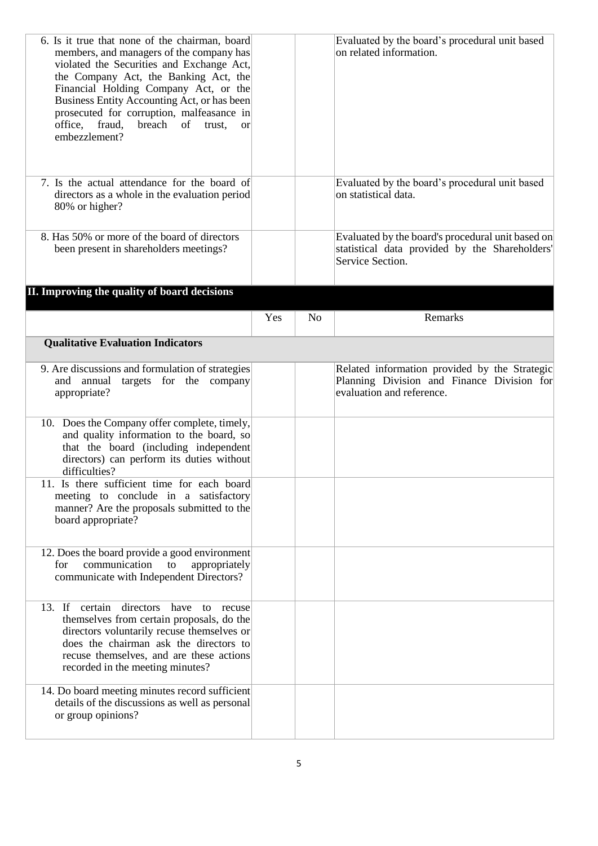| 6. Is it true that none of the chairman, board<br>members, and managers of the company has<br>violated the Securities and Exchange Act,<br>the Company Act, the Banking Act, the<br>Financial Holding Company Act, or the<br>Business Entity Accounting Act, or has been<br>prosecuted for corruption, malfeasance in<br>office, fraud,<br>breach of trust,<br><sub>or</sub><br>embezzlement? |     |                | Evaluated by the board's procedural unit based<br>on related information.                                                |
|-----------------------------------------------------------------------------------------------------------------------------------------------------------------------------------------------------------------------------------------------------------------------------------------------------------------------------------------------------------------------------------------------|-----|----------------|--------------------------------------------------------------------------------------------------------------------------|
| 7. Is the actual attendance for the board of<br>directors as a whole in the evaluation period<br>80% or higher?                                                                                                                                                                                                                                                                               |     |                | Evaluated by the board's procedural unit based<br>on statistical data.                                                   |
| 8. Has 50% or more of the board of directors<br>been present in shareholders meetings?                                                                                                                                                                                                                                                                                                        |     |                | Evaluated by the board's procedural unit based on<br>statistical data provided by the Shareholders'<br>Service Section.  |
| II. Improving the quality of board decisions                                                                                                                                                                                                                                                                                                                                                  |     |                |                                                                                                                          |
|                                                                                                                                                                                                                                                                                                                                                                                               | Yes | N <sub>o</sub> | Remarks                                                                                                                  |
| <b>Qualitative Evaluation Indicators</b>                                                                                                                                                                                                                                                                                                                                                      |     |                |                                                                                                                          |
| 9. Are discussions and formulation of strategies<br>annual<br>targets for the company<br>and<br>appropriate?                                                                                                                                                                                                                                                                                  |     |                | Related information provided by the Strategic<br>Planning Division and Finance Division for<br>evaluation and reference. |
| 10. Does the Company offer complete, timely,<br>and quality information to the board, so<br>that the board (including independent<br>directors) can perform its duties without<br>difficulties?                                                                                                                                                                                               |     |                |                                                                                                                          |
| 11. Is there sufficient time for each board<br>meeting to conclude in a satisfactory<br>manner? Are the proposals submitted to the<br>board appropriate?                                                                                                                                                                                                                                      |     |                |                                                                                                                          |
| 12. Does the board provide a good environment<br>communication<br>appropriately<br>for<br>to<br>communicate with Independent Directors?                                                                                                                                                                                                                                                       |     |                |                                                                                                                          |
| 13. If certain<br>directors<br>have<br>to recuse<br>themselves from certain proposals, do the<br>directors voluntarily recuse themselves or<br>does the chairman ask the directors to<br>recuse themselves, and are these actions<br>recorded in the meeting minutes?                                                                                                                         |     |                |                                                                                                                          |
| 14. Do board meeting minutes record sufficient<br>details of the discussions as well as personal<br>or group opinions?                                                                                                                                                                                                                                                                        |     |                |                                                                                                                          |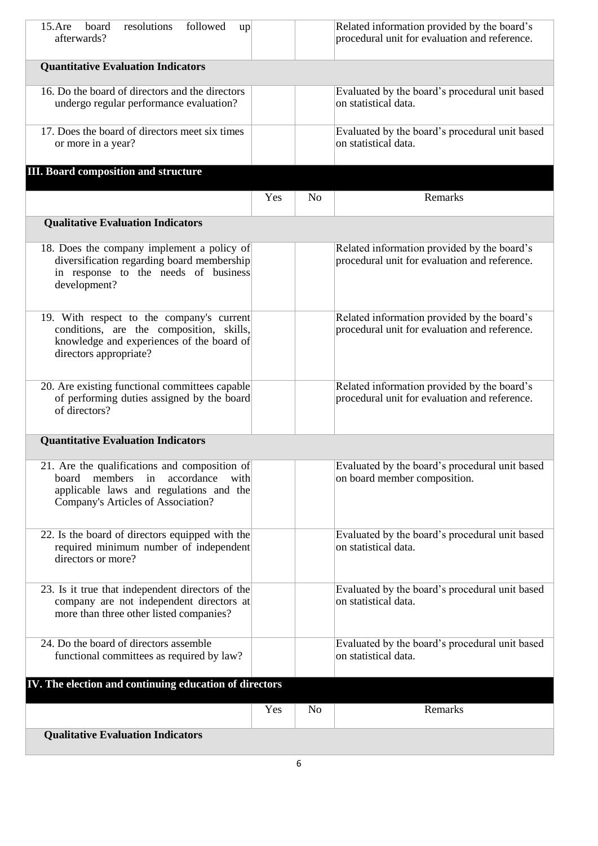| $15.$ Are<br>board<br>resolutions<br>followed<br>up<br>afterwards?                                                                                                       |     |                | Related information provided by the board's<br>procedural unit for evaluation and reference. |
|--------------------------------------------------------------------------------------------------------------------------------------------------------------------------|-----|----------------|----------------------------------------------------------------------------------------------|
| <b>Quantitative Evaluation Indicators</b>                                                                                                                                |     |                |                                                                                              |
| 16. Do the board of directors and the directors<br>undergo regular performance evaluation?                                                                               |     |                | Evaluated by the board's procedural unit based<br>on statistical data.                       |
| 17. Does the board of directors meet six times<br>or more in a year?                                                                                                     |     |                | Evaluated by the board's procedural unit based<br>on statistical data.                       |
| <b>III. Board composition and structure</b>                                                                                                                              |     |                |                                                                                              |
|                                                                                                                                                                          | Yes | N <sub>o</sub> | Remarks                                                                                      |
| <b>Qualitative Evaluation Indicators</b>                                                                                                                                 |     |                |                                                                                              |
| 18. Does the company implement a policy of<br>diversification regarding board membership<br>in response to the needs of business<br>development?                         |     |                | Related information provided by the board's<br>procedural unit for evaluation and reference. |
| 19. With respect to the company's current<br>conditions, are the composition, skills,<br>knowledge and experiences of the board of<br>directors appropriate?             |     |                | Related information provided by the board's<br>procedural unit for evaluation and reference. |
| 20. Are existing functional committees capable<br>of performing duties assigned by the board<br>of directors?                                                            |     |                | Related information provided by the board's<br>procedural unit for evaluation and reference. |
| <b>Quantitative Evaluation Indicators</b>                                                                                                                                |     |                |                                                                                              |
| 21. Are the qualifications and composition of<br>members in accordance<br>board<br>with<br>applicable laws and regulations and the<br>Company's Articles of Association? |     |                | Evaluated by the board's procedural unit based<br>on board member composition.               |
| 22. Is the board of directors equipped with the<br>required minimum number of independent<br>directors or more?                                                          |     |                | Evaluated by the board's procedural unit based<br>on statistical data.                       |
| 23. Is it true that independent directors of the<br>company are not independent directors at<br>more than three other listed companies?                                  |     |                | Evaluated by the board's procedural unit based<br>on statistical data.                       |
| 24. Do the board of directors assemble<br>functional committees as required by law?                                                                                      |     |                | Evaluated by the board's procedural unit based<br>on statistical data.                       |
| IV. The election and continuing education of directors                                                                                                                   |     |                |                                                                                              |
|                                                                                                                                                                          | Yes | N <sub>o</sub> | Remarks                                                                                      |
| <b>Qualitative Evaluation Indicators</b>                                                                                                                                 |     |                |                                                                                              |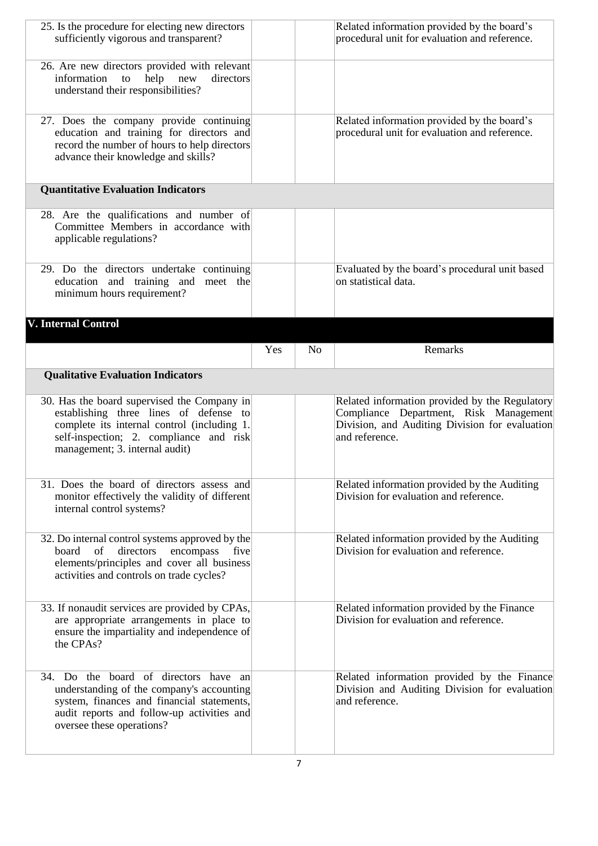| 25. Is the procedure for electing new directors<br>sufficiently vigorous and transparent?                                                                                                                         |     |                | Related information provided by the board's<br>procedural unit for evaluation and reference.                                                                 |
|-------------------------------------------------------------------------------------------------------------------------------------------------------------------------------------------------------------------|-----|----------------|--------------------------------------------------------------------------------------------------------------------------------------------------------------|
| 26. Are new directors provided with relevant<br>information<br>help<br>directors<br>to<br>new<br>understand their responsibilities?                                                                               |     |                |                                                                                                                                                              |
| 27. Does the company provide continuing<br>education and training for directors and<br>record the number of hours to help directors<br>advance their knowledge and skills?                                        |     |                | Related information provided by the board's<br>procedural unit for evaluation and reference.                                                                 |
| <b>Quantitative Evaluation Indicators</b>                                                                                                                                                                         |     |                |                                                                                                                                                              |
| 28. Are the qualifications and number of<br>Committee Members in accordance with<br>applicable regulations?                                                                                                       |     |                |                                                                                                                                                              |
| 29. Do the directors undertake continuing<br>education and training and meet the<br>minimum hours requirement?                                                                                                    |     |                | Evaluated by the board's procedural unit based<br>on statistical data.                                                                                       |
| V. Internal Control                                                                                                                                                                                               |     |                |                                                                                                                                                              |
|                                                                                                                                                                                                                   | Yes | N <sub>o</sub> | Remarks                                                                                                                                                      |
| <b>Qualitative Evaluation Indicators</b>                                                                                                                                                                          |     |                |                                                                                                                                                              |
|                                                                                                                                                                                                                   |     |                |                                                                                                                                                              |
| 30. Has the board supervised the Company in<br>establishing three lines of defense to<br>complete its internal control (including 1.<br>self-inspection; 2. compliance and risk<br>management; 3. internal audit) |     |                | Related information provided by the Regulatory<br>Compliance Department, Risk Management<br>Division, and Auditing Division for evaluation<br>and reference. |
| 31. Does the board of directors assess and<br>monitor effectively the validity of different<br>internal control systems?                                                                                          |     |                | Related information provided by the Auditing<br>Division for evaluation and reference.                                                                       |
| 32. Do internal control systems approved by the<br>encompass<br>of<br>directors<br>board<br>five<br>elements/principles and cover all business<br>activities and controls on trade cycles?                        |     |                | Related information provided by the Auditing<br>Division for evaluation and reference.                                                                       |
| 33. If nonaudit services are provided by CPAs,<br>are appropriate arrangements in place to<br>ensure the impartiality and independence of<br>the CPAs?                                                            |     |                | Related information provided by the Finance<br>Division for evaluation and reference.                                                                        |
| 34. Do the board of directors have an<br>understanding of the company's accounting<br>system, finances and financial statements,<br>audit reports and follow-up activities and<br>oversee these operations?       |     |                | Related information provided by the Finance<br>Division and Auditing Division for evaluation<br>and reference.                                               |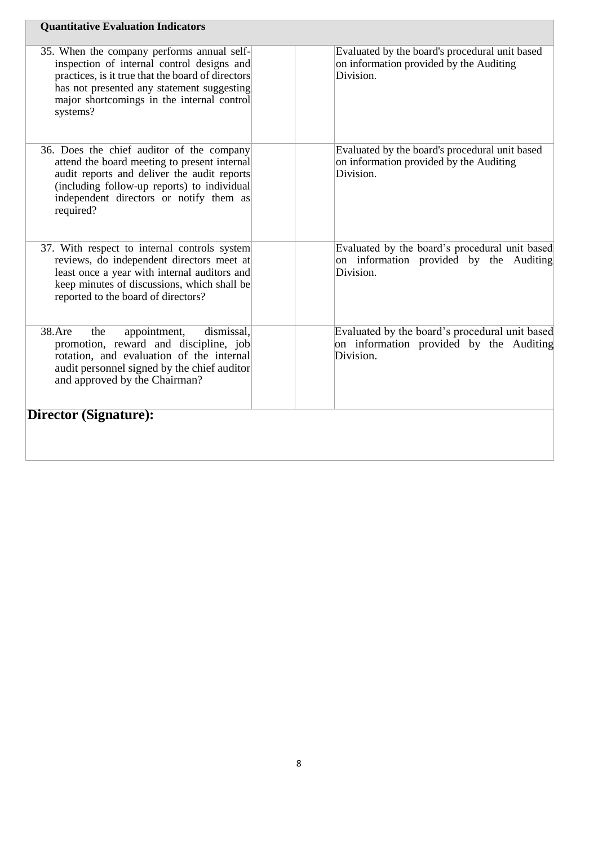| <b>Quantitative Evaluation Indicators</b>                                                                                                                                                                                                             |                                                                                                        |
|-------------------------------------------------------------------------------------------------------------------------------------------------------------------------------------------------------------------------------------------------------|--------------------------------------------------------------------------------------------------------|
| 35. When the company performs annual self-<br>inspection of internal control designs and<br>practices, is it true that the board of directors<br>has not presented any statement suggesting<br>major shortcomings in the internal control<br>systems? | Evaluated by the board's procedural unit based<br>on information provided by the Auditing<br>Division. |
| 36. Does the chief auditor of the company<br>attend the board meeting to present internal<br>audit reports and deliver the audit reports<br>(including follow-up reports) to individual<br>independent directors or notify them as<br>required?       | Evaluated by the board's procedural unit based<br>on information provided by the Auditing<br>Division. |
| 37. With respect to internal controls system<br>reviews, do independent directors meet at<br>least once a year with internal auditors and<br>keep minutes of discussions, which shall be<br>reported to the board of directors?                       | Evaluated by the board's procedural unit based<br>on information provided by the Auditing<br>Division. |
| dismissal,<br>38.Are<br>the<br>appointment,<br>promotion, reward and discipline, job<br>rotation, and evaluation of the internal<br>audit personnel signed by the chief auditor<br>and approved by the Chairman?                                      | Evaluated by the board's procedural unit based<br>on information provided by the Auditing<br>Division. |
| <b>Director (Signature):</b>                                                                                                                                                                                                                          |                                                                                                        |
|                                                                                                                                                                                                                                                       |                                                                                                        |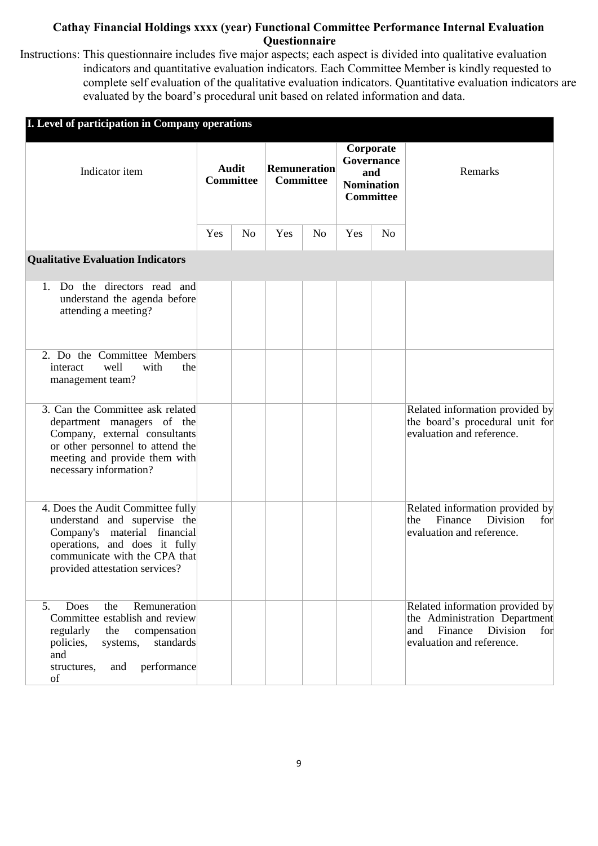## **Cathay Financial Holdings xxxx (year) Functional Committee Performance Internal Evaluation Questionnaire**

Instructions: This questionnaire includes five major aspects; each aspect is divided into qualitative evaluation indicators and quantitative evaluation indicators. Each Committee Member is kindly requested to complete self evaluation of the qualitative evaluation indicators. Quantitative evaluation indicators are evaluated by the board's procedural unit based on related information and data.

| <b>I. Level of participation in Company operations</b>                                                                                                                                                   |                                  |                |                                         |                |                                                                         |                |                                                                                                                                    |
|----------------------------------------------------------------------------------------------------------------------------------------------------------------------------------------------------------|----------------------------------|----------------|-----------------------------------------|----------------|-------------------------------------------------------------------------|----------------|------------------------------------------------------------------------------------------------------------------------------------|
| Indicator item                                                                                                                                                                                           | <b>Audit</b><br><b>Committee</b> |                | <b>Remuneration</b><br><b>Committee</b> |                | Corporate<br>Governance<br>and<br><b>Nomination</b><br><b>Committee</b> |                | Remarks                                                                                                                            |
|                                                                                                                                                                                                          | Yes                              | N <sub>o</sub> | Yes                                     | N <sub>o</sub> | Yes                                                                     | N <sub>o</sub> |                                                                                                                                    |
| <b>Qualitative Evaluation Indicators</b>                                                                                                                                                                 |                                  |                |                                         |                |                                                                         |                |                                                                                                                                    |
| Do the directors read and<br>1.<br>understand the agenda before<br>attending a meeting?                                                                                                                  |                                  |                |                                         |                |                                                                         |                |                                                                                                                                    |
| 2. Do the Committee Members<br>well<br>with<br>the<br>interact<br>management team?                                                                                                                       |                                  |                |                                         |                |                                                                         |                |                                                                                                                                    |
| 3. Can the Committee ask related<br>department managers of the<br>Company, external consultants<br>or other personnel to attend the<br>meeting and provide them with<br>necessary information?           |                                  |                |                                         |                |                                                                         |                | Related information provided by<br>the board's procedural unit for<br>evaluation and reference.                                    |
| 4. Does the Audit Committee fully<br>understand and supervise the<br>material financial<br>Company's<br>operations, and does it fully<br>communicate with the CPA that<br>provided attestation services? |                                  |                |                                         |                |                                                                         |                | Related information provided by<br>Finance<br><b>Division</b><br>the<br>for<br>evaluation and reference.                           |
| Remuneration<br>5.<br>Does<br>the<br>Committee establish and review<br>regularly<br>the<br>compensation<br>standards<br>policies,<br>systems,<br>and<br>performance<br>structures,<br>and<br>of          |                                  |                |                                         |                |                                                                         |                | Related information provided by<br>the Administration Department<br>Finance<br>and<br>Division<br>for<br>evaluation and reference. |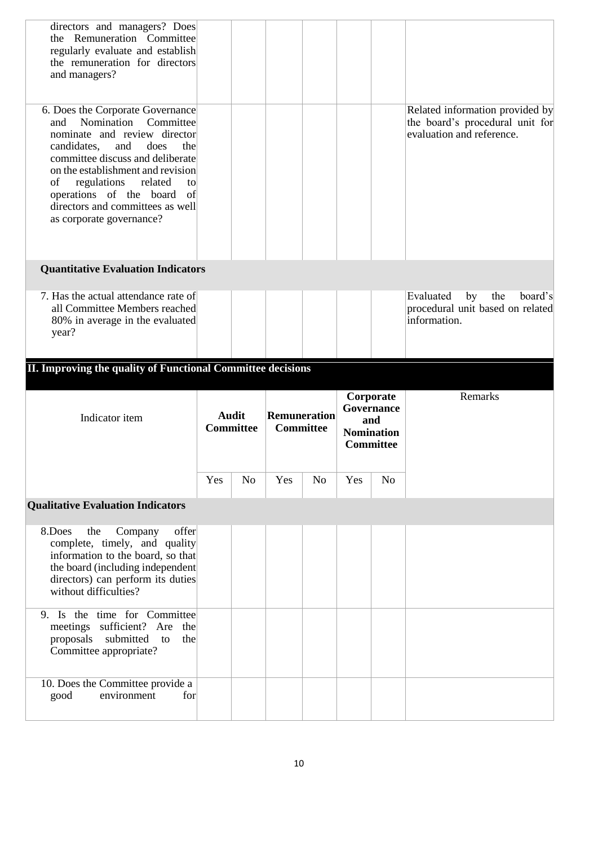| directors and managers? Does<br>the Remuneration Committee<br>regularly evaluate and establish<br>the remuneration for directors<br>and managers?                                                                                                                                                                                                       |     |                                  |                                         |                |     |                                                                         |                                                                                                 |
|---------------------------------------------------------------------------------------------------------------------------------------------------------------------------------------------------------------------------------------------------------------------------------------------------------------------------------------------------------|-----|----------------------------------|-----------------------------------------|----------------|-----|-------------------------------------------------------------------------|-------------------------------------------------------------------------------------------------|
| 6. Does the Corporate Governance<br>Committee<br>Nomination<br>and<br>nominate and review director<br>and<br>does<br>candidates,<br>the<br>committee discuss and deliberate<br>on the establishment and revision<br>of<br>regulations<br>related<br>to<br>operations of the board<br>of<br>directors and committees as well<br>as corporate governance? |     |                                  |                                         |                |     |                                                                         | Related information provided by<br>the board's procedural unit for<br>evaluation and reference. |
| <b>Quantitative Evaluation Indicators</b>                                                                                                                                                                                                                                                                                                               |     |                                  |                                         |                |     |                                                                         |                                                                                                 |
| 7. Has the actual attendance rate of<br>all Committee Members reached<br>80% in average in the evaluated<br>year?                                                                                                                                                                                                                                       |     |                                  |                                         |                |     |                                                                         | Evaluated<br>the<br>board's<br>by<br>procedural unit based on related<br>information.           |
| II. Improving the quality of Functional Committee decisions                                                                                                                                                                                                                                                                                             |     |                                  |                                         |                |     |                                                                         |                                                                                                 |
|                                                                                                                                                                                                                                                                                                                                                         |     |                                  |                                         |                |     |                                                                         |                                                                                                 |
| Indicator item                                                                                                                                                                                                                                                                                                                                          |     | <b>Audit</b><br><b>Committee</b> | <b>Remuneration</b><br><b>Committee</b> |                |     | Corporate<br>Governance<br>and<br><b>Nomination</b><br><b>Committee</b> | Remarks                                                                                         |
|                                                                                                                                                                                                                                                                                                                                                         | Yes | N <sub>o</sub>                   | Yes                                     | N <sub>o</sub> | Yes | N <sub>o</sub>                                                          |                                                                                                 |
| <b>Qualitative Evaluation Indicators</b>                                                                                                                                                                                                                                                                                                                |     |                                  |                                         |                |     |                                                                         |                                                                                                 |
| offer<br>8.Does<br>Company<br>the<br>complete, timely, and quality<br>information to the board, so that<br>the board (including independent<br>directors) can perform its duties<br>without difficulties?                                                                                                                                               |     |                                  |                                         |                |     |                                                                         |                                                                                                 |
| 9. Is the time for Committee<br>meetings sufficient? Are<br>the<br>submitted<br>proposals<br>to<br>the<br>Committee appropriate?                                                                                                                                                                                                                        |     |                                  |                                         |                |     |                                                                         |                                                                                                 |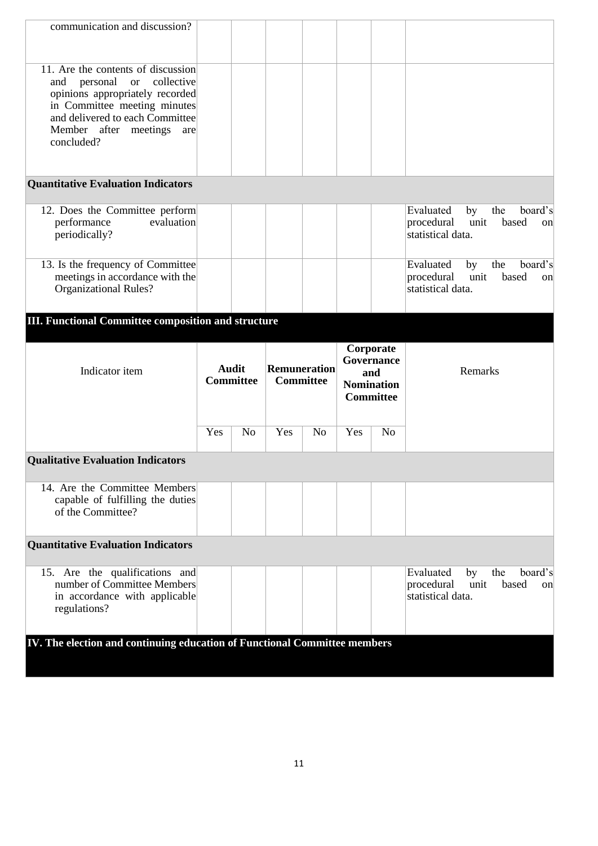| communication and discussion?                                                                                                                                                                                        |     |                                  |                           |                |     |                                                                         |                                                                                             |
|----------------------------------------------------------------------------------------------------------------------------------------------------------------------------------------------------------------------|-----|----------------------------------|---------------------------|----------------|-----|-------------------------------------------------------------------------|---------------------------------------------------------------------------------------------|
| 11. Are the contents of discussion<br>and personal or<br>collective<br>opinions appropriately recorded<br>in Committee meeting minutes<br>and delivered to each Committee<br>Member after meetings are<br>concluded? |     |                                  |                           |                |     |                                                                         |                                                                                             |
| <b>Quantitative Evaluation Indicators</b>                                                                                                                                                                            |     |                                  |                           |                |     |                                                                         |                                                                                             |
| 12. Does the Committee perform<br>evaluation<br>performance<br>periodically?                                                                                                                                         |     |                                  |                           |                |     |                                                                         | Evaluated<br>board's<br>the<br>by<br>based<br>procedural<br>unit<br>on<br>statistical data. |
| 13. Is the frequency of Committee<br>meetings in accordance with the<br><b>Organizational Rules?</b>                                                                                                                 |     |                                  |                           |                |     |                                                                         | board's<br>Evaluated<br>the<br>by<br>unit<br>based<br>procedural<br>on<br>statistical data. |
| <b>III. Functional Committee composition and structure</b>                                                                                                                                                           |     |                                  |                           |                |     |                                                                         |                                                                                             |
| Indicator item                                                                                                                                                                                                       |     | <b>Audit</b><br><b>Committee</b> | Remuneration<br>Committee |                |     | Corporate<br>Governance<br>and<br><b>Nomination</b><br><b>Committee</b> | Remarks                                                                                     |
|                                                                                                                                                                                                                      | Yes | N <sub>o</sub>                   | Yes                       | N <sub>o</sub> | Yes | N <sub>o</sub>                                                          |                                                                                             |
|                                                                                                                                                                                                                      |     |                                  |                           |                |     |                                                                         |                                                                                             |
| <b>Qualitative Evaluation Indicators</b>                                                                                                                                                                             |     |                                  |                           |                |     |                                                                         |                                                                                             |
| 14. Are the Committee Members<br>capable of fulfilling the duties<br>of the Committee?                                                                                                                               |     |                                  |                           |                |     |                                                                         |                                                                                             |
| <b>Quantitative Evaluation Indicators</b>                                                                                                                                                                            |     |                                  |                           |                |     |                                                                         |                                                                                             |
| 15. Are the qualifications and<br>number of Committee Members<br>in accordance with applicable<br>regulations?                                                                                                       |     |                                  |                           |                |     |                                                                         | Evaluated<br>the<br>board's<br>by<br>based<br>unit<br>procedural<br>on<br>statistical data. |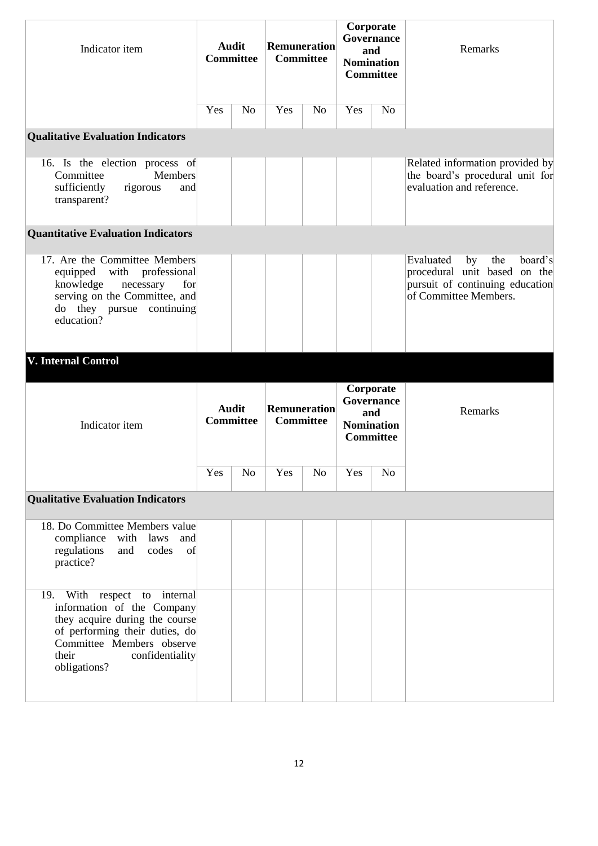| Indicator item                                                                                                                                                                                          |     | <b>Audit</b><br><b>Committee</b> |              | <b>Remuneration</b><br><b>Committee</b> |     | Corporate<br>Governance<br>and<br><b>Nomination</b><br><b>Committee</b> | Remarks                                                                                                                       |
|---------------------------------------------------------------------------------------------------------------------------------------------------------------------------------------------------------|-----|----------------------------------|--------------|-----------------------------------------|-----|-------------------------------------------------------------------------|-------------------------------------------------------------------------------------------------------------------------------|
|                                                                                                                                                                                                         | Yes | N <sub>0</sub>                   | Yes          | N <sub>o</sub>                          | Yes | N <sub>0</sub>                                                          |                                                                                                                               |
| <b>Qualitative Evaluation Indicators</b>                                                                                                                                                                |     |                                  |              |                                         |     |                                                                         |                                                                                                                               |
| 16. Is the election process of<br>Committee<br><b>Members</b><br>sufficiently<br>rigorous<br>and<br>transparent?                                                                                        |     |                                  |              |                                         |     |                                                                         | Related information provided by<br>the board's procedural unit for<br>evaluation and reference.                               |
| <b>Quantitative Evaluation Indicators</b>                                                                                                                                                               |     |                                  |              |                                         |     |                                                                         |                                                                                                                               |
| 17. Are the Committee Members<br>professional<br>with<br>equipped<br>knowledge<br>necessary<br>for<br>serving on the Committee, and<br>do they pursue continuing<br>education?                          |     |                                  |              |                                         |     |                                                                         | Evaluated<br>board's<br>by<br>the<br>procedural unit based on the<br>pursuit of continuing education<br>of Committee Members. |
| <b>V. Internal Control</b>                                                                                                                                                                              |     |                                  |              |                                         |     |                                                                         |                                                                                                                               |
| Indicator item                                                                                                                                                                                          |     | <b>Audit</b><br><b>Committee</b> | Remuneration | <b>Committee</b>                        |     | Corporate<br>Governance<br>and<br><b>Nomination</b><br>Committee        | Remarks                                                                                                                       |
|                                                                                                                                                                                                         | Yes | N <sub>0</sub>                   | Yes          | N <sub>o</sub>                          | Yes | No                                                                      |                                                                                                                               |
| <b>Qualitative Evaluation Indicators</b>                                                                                                                                                                |     |                                  |              |                                         |     |                                                                         |                                                                                                                               |
| 18. Do Committee Members value<br>compliance<br>with laws and<br>regulations<br>codes<br>and<br>$\alpha$ of<br>practice?                                                                                |     |                                  |              |                                         |     |                                                                         |                                                                                                                               |
| 19. With respect to internal<br>information of the Company<br>they acquire during the course<br>of performing their duties, do<br>Committee Members observe<br>their<br>confidentiality<br>obligations? |     |                                  |              |                                         |     |                                                                         |                                                                                                                               |